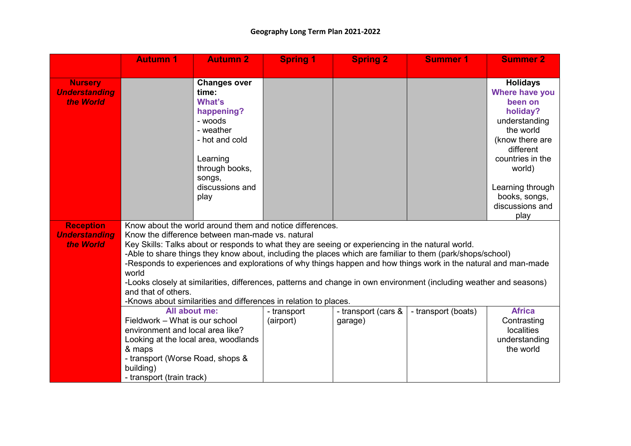|                      | <b>Autumn 1</b>                                                                                                                            | <b>Autumn 2</b>     | <b>Spring 1</b> | <b>Spring 2</b>     | <b>Summer 1</b>     | <b>Summer 2</b>              |
|----------------------|--------------------------------------------------------------------------------------------------------------------------------------------|---------------------|-----------------|---------------------|---------------------|------------------------------|
| <b>Nursery</b>       |                                                                                                                                            | <b>Changes over</b> |                 |                     |                     | <b>Holidays</b>              |
| <b>Understanding</b> |                                                                                                                                            | time:               |                 |                     |                     | Where have you               |
| the World            |                                                                                                                                            | What's              |                 |                     |                     | been on                      |
|                      |                                                                                                                                            | happening?          |                 |                     |                     | holiday?                     |
|                      |                                                                                                                                            | - woods             |                 |                     |                     | understanding                |
|                      |                                                                                                                                            | - weather           |                 |                     |                     | the world                    |
|                      |                                                                                                                                            | - hot and cold      |                 |                     |                     | (know there are<br>different |
|                      |                                                                                                                                            | Learning            |                 |                     |                     | countries in the             |
|                      |                                                                                                                                            | through books,      |                 |                     |                     | world)                       |
|                      |                                                                                                                                            | songs,              |                 |                     |                     |                              |
|                      |                                                                                                                                            | discussions and     |                 |                     |                     | Learning through             |
|                      |                                                                                                                                            | play                |                 |                     |                     | books, songs,                |
|                      |                                                                                                                                            |                     |                 |                     |                     | discussions and<br>play      |
| <b>Reception</b>     |                                                                                                                                            |                     |                 |                     |                     |                              |
| <b>Understanding</b> | Know about the world around them and notice differences.<br>Know the difference between man-made vs. natural                               |                     |                 |                     |                     |                              |
| the World            | Key Skills: Talks about or responds to what they are seeing or experiencing in the natural world.                                          |                     |                 |                     |                     |                              |
|                      | -Able to share things they know about, including the places which are familiar to them (park/shops/school)                                 |                     |                 |                     |                     |                              |
|                      | -Responds to experiences and explorations of why things happen and how things work in the natural and man-made                             |                     |                 |                     |                     |                              |
|                      | world                                                                                                                                      |                     |                 |                     |                     |                              |
|                      | -Looks closely at similarities, differences, patterns and change in own environment (including weather and seasons)<br>and that of others. |                     |                 |                     |                     |                              |
|                      | -Knows about similarities and differences in relation to places.                                                                           |                     |                 |                     |                     |                              |
|                      | All about me:                                                                                                                              |                     | - transport     | - transport (cars & | - transport (boats) | <b>Africa</b>                |
|                      | Fieldwork - What is our school                                                                                                             |                     | (airport)       | garage)             |                     | Contrasting                  |
|                      | environment and local area like?                                                                                                           |                     |                 |                     |                     | localities                   |
|                      | Looking at the local area, woodlands                                                                                                       |                     |                 |                     |                     | understanding<br>the world   |
|                      | & maps<br>- transport (Worse Road, shops &                                                                                                 |                     |                 |                     |                     |                              |
|                      | building)                                                                                                                                  |                     |                 |                     |                     |                              |
|                      | - transport (train track)                                                                                                                  |                     |                 |                     |                     |                              |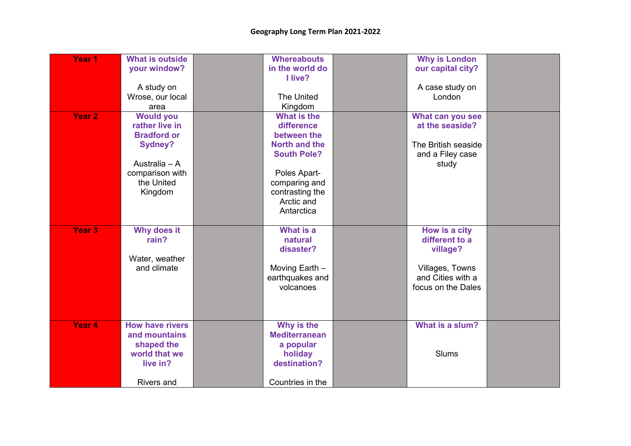| Year <sub>1</sub> | <b>What is outside</b><br>your window?<br>A study on<br>Wrose, our local<br>area                                                        | <b>Whereabouts</b><br>in the world do<br>I live?<br><b>The United</b><br>Kingdom                                                                                | <b>Why is London</b><br>our capital city?<br>A case study on<br>London                                    |  |
|-------------------|-----------------------------------------------------------------------------------------------------------------------------------------|-----------------------------------------------------------------------------------------------------------------------------------------------------------------|-----------------------------------------------------------------------------------------------------------|--|
| Year <sub>2</sub> | <b>Would you</b><br>rather live in<br><b>Bradford or</b><br><b>Sydney?</b><br>Australia - A<br>comparison with<br>the United<br>Kingdom | What is the<br>difference<br>between the<br>North and the<br><b>South Pole?</b><br>Poles Apart-<br>comparing and<br>contrasting the<br>Arctic and<br>Antarctica | What can you see<br>at the seaside?<br>The British seaside<br>and a Filey case<br>study                   |  |
| Year 3            | Why does it<br>rain?<br>Water, weather<br>and climate                                                                                   | <b>What is a</b><br>natural<br>disaster?<br>Moving Earth -<br>earthquakes and<br>volcanoes                                                                      | How is a city<br>different to a<br>village?<br>Villages, Towns<br>and Cities with a<br>focus on the Dales |  |
| Year 4            | <b>How have rivers</b><br>and mountains<br>shaped the<br>world that we<br>live in?<br><b>Rivers and</b>                                 | Why is the<br><b>Mediterranean</b><br>a popular<br>holiday<br>destination?<br>Countries in the                                                                  | What is a slum?<br><b>Slums</b>                                                                           |  |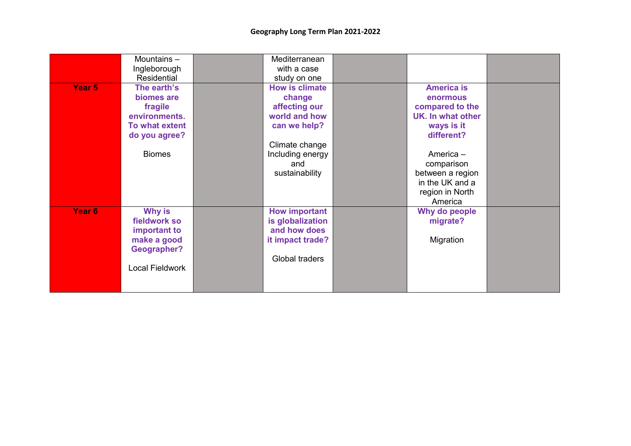|        | Mountains-         | Mediterranean         |                   |  |
|--------|--------------------|-----------------------|-------------------|--|
|        | Ingleborough       | with a case           |                   |  |
|        | Residential        | study on one          |                   |  |
| Year 5 | The earth's        | <b>How is climate</b> | <b>America is</b> |  |
|        | biomes are         | change                | enormous          |  |
|        | fragile            | affecting our         | compared to the   |  |
|        | environments.      | world and how         | UK. In what other |  |
|        | To what extent     | can we help?          | ways is it        |  |
|        | do you agree?      |                       | different?        |  |
|        |                    | Climate change        |                   |  |
|        | <b>Biomes</b>      | Including energy      | America -         |  |
|        |                    | and                   | comparison        |  |
|        |                    | sustainability        | between a region  |  |
|        |                    |                       | in the UK and a   |  |
|        |                    |                       | region in North   |  |
|        |                    |                       | America           |  |
| Year 6 | <b>Why is</b>      | <b>How important</b>  | Why do people     |  |
|        | fieldwork so       | is globalization      | migrate?          |  |
|        | important to       | and how does          |                   |  |
|        | make a good        | it impact trade?      | Migration         |  |
|        | <b>Geographer?</b> |                       |                   |  |
|        |                    | Global traders        |                   |  |
|        | Local Fieldwork    |                       |                   |  |
|        |                    |                       |                   |  |
|        |                    |                       |                   |  |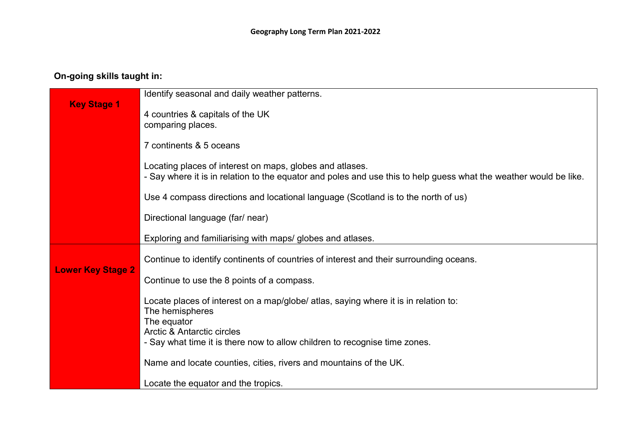## **On-going skills taught in:**

|                          | Identify seasonal and daily weather patterns.                                                                                                                                 |
|--------------------------|-------------------------------------------------------------------------------------------------------------------------------------------------------------------------------|
| <b>Key Stage 1</b>       | 4 countries & capitals of the UK<br>comparing places.                                                                                                                         |
|                          | 7 continents & 5 oceans                                                                                                                                                       |
|                          | Locating places of interest on maps, globes and atlases.<br>- Say where it is in relation to the equator and poles and use this to help guess what the weather would be like. |
|                          | Use 4 compass directions and locational language (Scotland is to the north of us)                                                                                             |
|                          | Directional language (far/ near)                                                                                                                                              |
|                          | Exploring and familiarising with maps/ globes and atlases.                                                                                                                    |
| <b>Lower Key Stage 2</b> | Continue to identify continents of countries of interest and their surrounding oceans.                                                                                        |
|                          | Continue to use the 8 points of a compass.                                                                                                                                    |
|                          | Locate places of interest on a map/globe/ atlas, saying where it is in relation to:<br>The hemispheres<br>The equator                                                         |
|                          | Arctic & Antarctic circles<br>- Say what time it is there now to allow children to recognise time zones.                                                                      |
|                          | Name and locate counties, cities, rivers and mountains of the UK.                                                                                                             |
|                          | Locate the equator and the tropics.                                                                                                                                           |